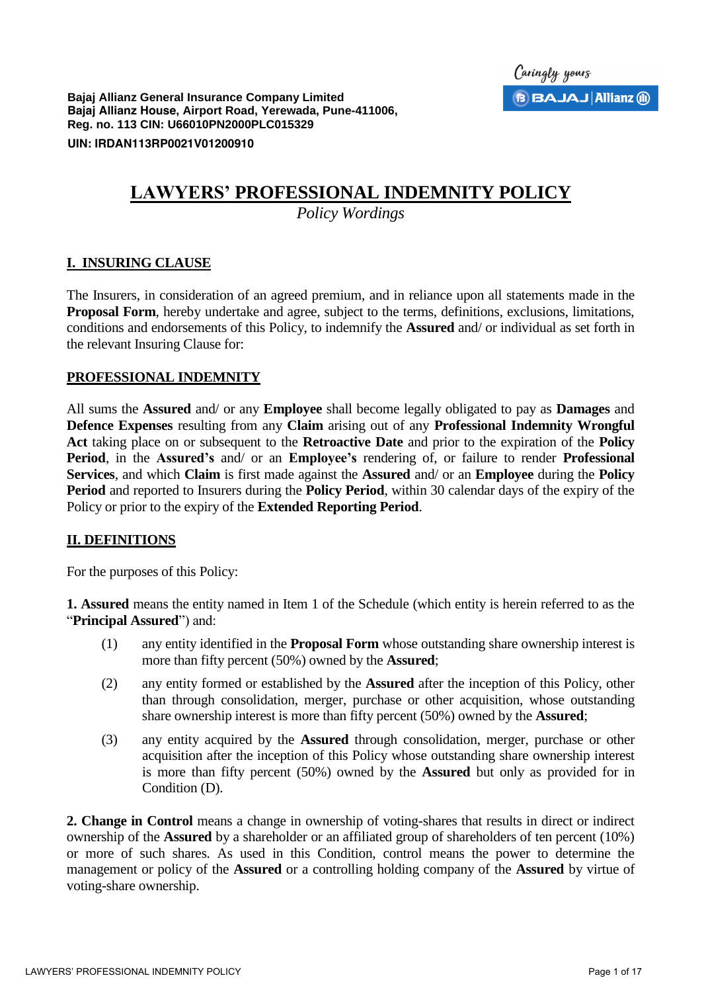**Bajaj Allianz General Insurance Company Limited Bajaj Allianz House, Airport Road, Yerewada, Pune-411006, Reg. no. 113 CIN: U66010PN2000PLC015329** 

**UIN: IRDAN113RP0021V01200910**

# **LAWYERS' PROFESSIONAL INDEMNITY POLICY**

*Policy Wordings* 

### **I. INSURING CLAUSE**

The Insurers, in consideration of an agreed premium, and in reliance upon all statements made in the **Proposal Form**, hereby undertake and agree, subject to the terms, definitions, exclusions, limitations, conditions and endorsements of this Policy, to indemnify the **Assured** and/ or individual as set forth in the relevant Insuring Clause for:

### **PROFESSIONAL INDEMNITY**

All sums the **Assured** and/ or any **Employee** shall become legally obligated to pay as **Damages** and **Defence Expenses** resulting from any **Claim** arising out of any **Professional Indemnity Wrongful Act** taking place on or subsequent to the **Retroactive Date** and prior to the expiration of the **Policy Period**, in the **Assured's** and/ or an **Employee's** rendering of, or failure to render **Professional Services**, and which **Claim** is first made against the **Assured** and/ or an **Employee** during the **Policy Period** and reported to Insurers during the **Policy Period**, within 30 calendar days of the expiry of the Policy or prior to the expiry of the **Extended Reporting Period**.

# **II. DEFINITIONS**

For the purposes of this Policy:

**1. Assured** means the entity named in Item 1 of the Schedule (which entity is herein referred to as the "**Principal Assured**") and:

- (1) any entity identified in the **Proposal Form** whose outstanding share ownership interest is more than fifty percent (50%) owned by the **Assured**;
- (2) any entity formed or established by the **Assured** after the inception of this Policy, other than through consolidation, merger, purchase or other acquisition, whose outstanding share ownership interest is more than fifty percent (50%) owned by the **Assured**;
- (3) any entity acquired by the **Assured** through consolidation, merger, purchase or other acquisition after the inception of this Policy whose outstanding share ownership interest is more than fifty percent (50%) owned by the **Assured** but only as provided for in Condition (D).

**2. Change in Control** means a change in ownership of voting-shares that results in direct or indirect ownership of the **Assured** by a shareholder or an affiliated group of shareholders of ten percent (10%) or more of such shares. As used in this Condition, control means the power to determine the management or policy of the **Assured** or a controlling holding company of the **Assured** by virtue of voting-share ownership.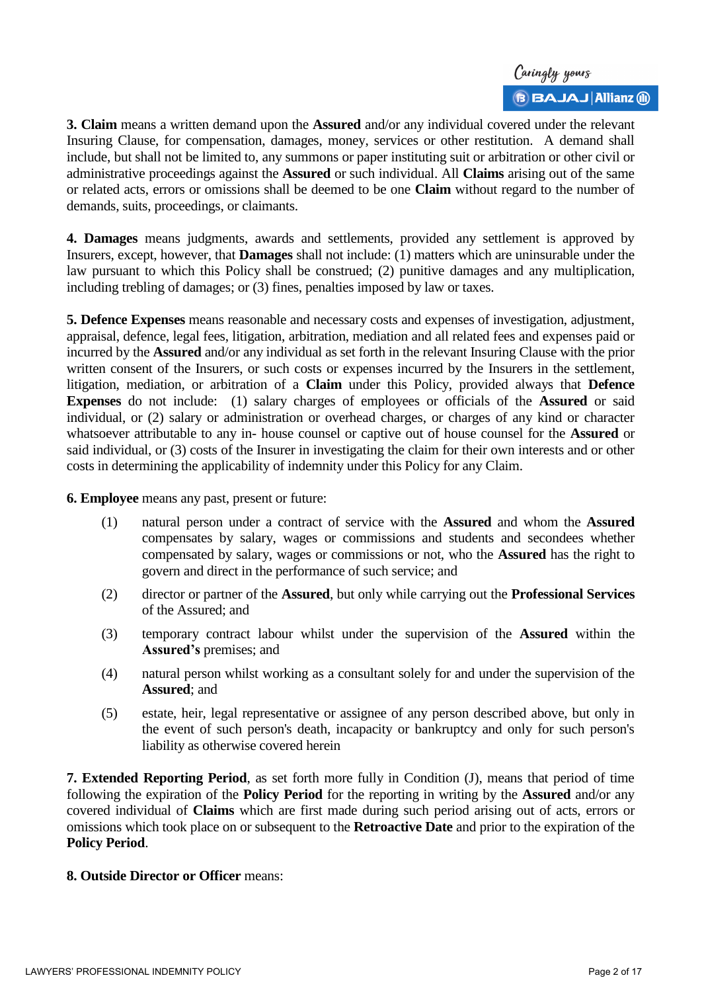

**3. Claim** means a written demand upon the **Assured** and/or any individual covered under the relevant Insuring Clause, for compensation, damages, money, services or other restitution. A demand shall include, but shall not be limited to, any summons or paper instituting suit or arbitration or other civil or administrative proceedings against the **Assured** or such individual. All **Claims** arising out of the same or related acts, errors or omissions shall be deemed to be one **Claim** without regard to the number of demands, suits, proceedings, or claimants.

**4. Damages** means judgments, awards and settlements, provided any settlement is approved by Insurers, except, however, that **Damages** shall not include: (1) matters which are uninsurable under the law pursuant to which this Policy shall be construed; (2) punitive damages and any multiplication, including trebling of damages; or (3) fines, penalties imposed by law or taxes.

**5. Defence Expenses** means reasonable and necessary costs and expenses of investigation, adjustment, appraisal, defence, legal fees, litigation, arbitration, mediation and all related fees and expenses paid or incurred by the **Assured** and/or any individual as set forth in the relevant Insuring Clause with the prior written consent of the Insurers, or such costs or expenses incurred by the Insurers in the settlement, litigation, mediation, or arbitration of a **Claim** under this Policy, provided always that **Defence Expenses** do not include: (1) salary charges of employees or officials of the **Assured** or said individual, or (2) salary or administration or overhead charges, or charges of any kind or character whatsoever attributable to any in- house counsel or captive out of house counsel for the **Assured** or said individual, or (3) costs of the Insurer in investigating the claim for their own interests and or other costs in determining the applicability of indemnity under this Policy for any Claim.

**6. Employee** means any past, present or future:

- (1) natural person under a contract of service with the **Assured** and whom the **Assured** compensates by salary, wages or commissions and students and secondees whether compensated by salary, wages or commissions or not, who the **Assured** has the right to govern and direct in the performance of such service; and
- (2) director or partner of the **Assured**, but only while carrying out the **Professional Services** of the Assured; and
- (3) temporary contract labour whilst under the supervision of the **Assured** within the **Assured's** premises; and
- (4) natural person whilst working as a consultant solely for and under the supervision of the **Assured**; and
- (5) estate, heir, legal representative or assignee of any person described above, but only in the event of such person's death, incapacity or bankruptcy and only for such person's liability as otherwise covered herein

**7. Extended Reporting Period**, as set forth more fully in Condition (J), means that period of time following the expiration of the **Policy Period** for the reporting in writing by the **Assured** and/or any covered individual of **Claims** which are first made during such period arising out of acts, errors or omissions which took place on or subsequent to the **Retroactive Date** and prior to the expiration of the **Policy Period**.

#### **8. Outside Director or Officer** means: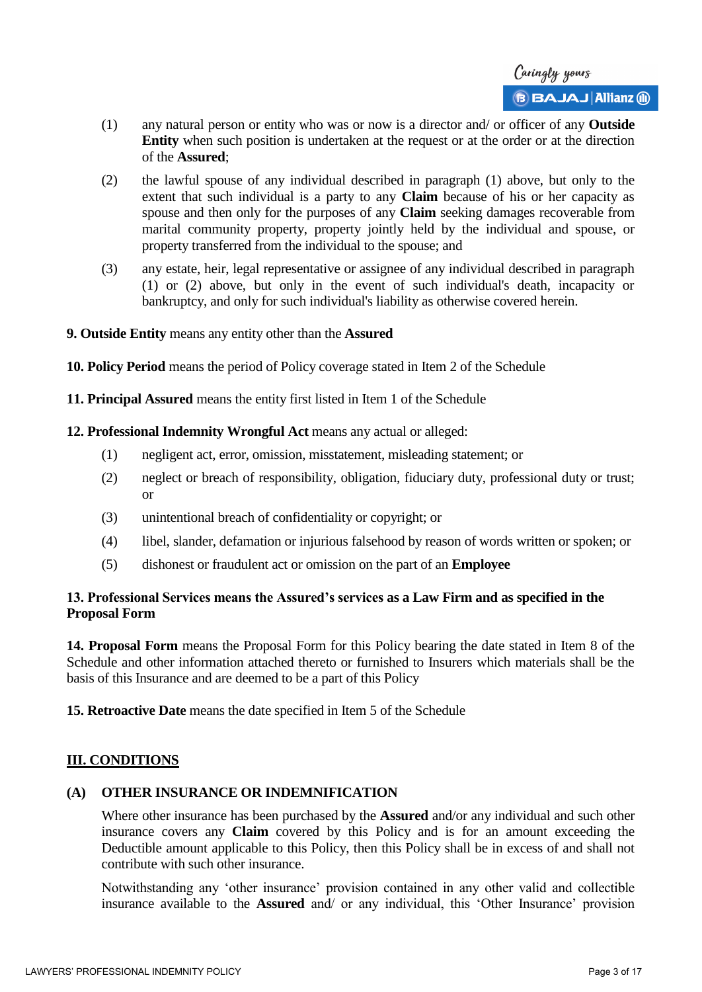- (1) any natural person or entity who was or now is a director and/ or officer of any **Outside Entity** when such position is undertaken at the request or at the order or at the direction of the **Assured**;
- (2) the lawful spouse of any individual described in paragraph (1) above, but only to the extent that such individual is a party to any **Claim** because of his or her capacity as spouse and then only for the purposes of any **Claim** seeking damages recoverable from marital community property, property jointly held by the individual and spouse, or property transferred from the individual to the spouse; and
- (3) any estate, heir, legal representative or assignee of any individual described in paragraph (1) or (2) above, but only in the event of such individual's death, incapacity or bankruptcy, and only for such individual's liability as otherwise covered herein.
- **9. Outside Entity** means any entity other than the **Assured**
- **10. Policy Period** means the period of Policy coverage stated in Item 2 of the Schedule
- **11. Principal Assured** means the entity first listed in Item 1 of the Schedule
- **12. Professional Indemnity Wrongful Act** means any actual or alleged:
	- (1) negligent act, error, omission, misstatement, misleading statement; or
	- (2) neglect or breach of responsibility, obligation, fiduciary duty, professional duty or trust; or
	- (3) unintentional breach of confidentiality or copyright; or
	- (4) libel, slander, defamation or injurious falsehood by reason of words written or spoken; or
	- (5) dishonest or fraudulent act or omission on the part of an **Employee**

# **13. Professional Services means the Assured's services as a Law Firm and as specified in the Proposal Form**

**14. Proposal Form** means the Proposal Form for this Policy bearing the date stated in Item 8 of the Schedule and other information attached thereto or furnished to Insurers which materials shall be the basis of this Insurance and are deemed to be a part of this Policy

**15. Retroactive Date** means the date specified in Item 5 of the Schedule

# **III. CONDITIONS**

# **(A) OTHER INSURANCE OR INDEMNIFICATION**

Where other insurance has been purchased by the **Assured** and/or any individual and such other insurance covers any **Claim** covered by this Policy and is for an amount exceeding the Deductible amount applicable to this Policy, then this Policy shall be in excess of and shall not contribute with such other insurance.

Notwithstanding any 'other insurance' provision contained in any other valid and collectible insurance available to the **Assured** and/ or any individual, this 'Other Insurance' provision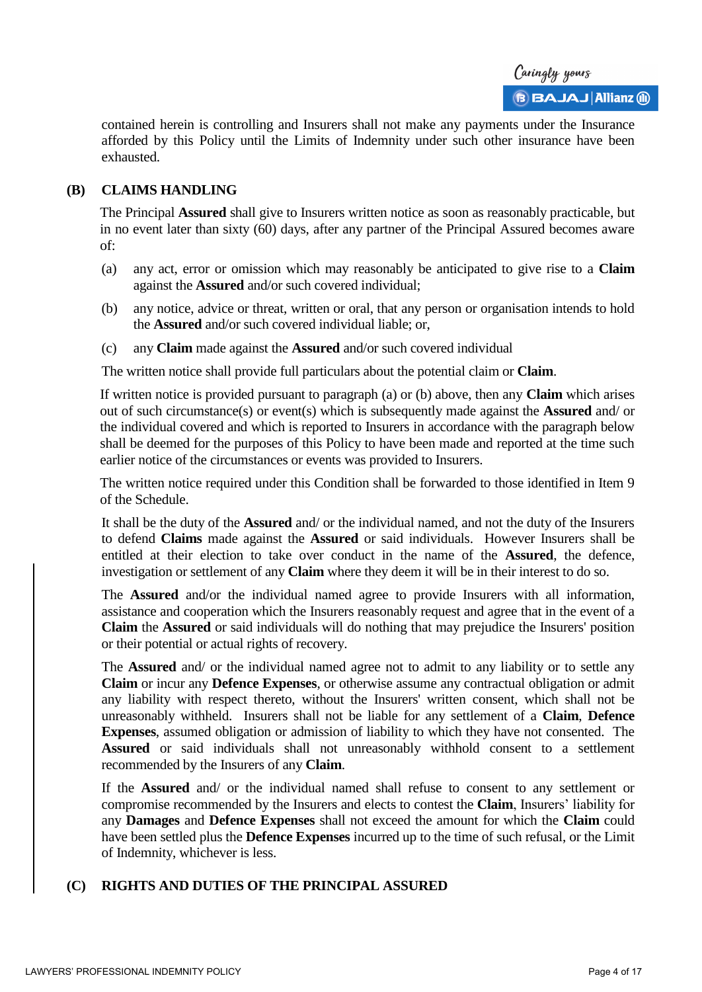contained herein is controlling and Insurers shall not make any payments under the Insurance afforded by this Policy until the Limits of Indemnity under such other insurance have been exhausted.

### **(B) CLAIMS HANDLING**

The Principal **Assured** shall give to Insurers written notice as soon as reasonably practicable, but in no event later than sixty (60) days, after any partner of the Principal Assured becomes aware of:

- (a) any act, error or omission which may reasonably be anticipated to give rise to a **Claim** against the **Assured** and/or such covered individual;
- (b) any notice, advice or threat, written or oral, that any person or organisation intends to hold the **Assured** and/or such covered individual liable; or,
- (c) any **Claim** made against the **Assured** and/or such covered individual

The written notice shall provide full particulars about the potential claim or **Claim**.

If written notice is provided pursuant to paragraph (a) or (b) above, then any **Claim** which arises out of such circumstance(s) or event(s) which is subsequently made against the **Assured** and/ or the individual covered and which is reported to Insurers in accordance with the paragraph below shall be deemed for the purposes of this Policy to have been made and reported at the time such earlier notice of the circumstances or events was provided to Insurers.

The written notice required under this Condition shall be forwarded to those identified in Item 9 of the Schedule.

It shall be the duty of the **Assured** and/ or the individual named, and not the duty of the Insurers to defend **Claims** made against the **Assured** or said individuals. However Insurers shall be entitled at their election to take over conduct in the name of the **Assured**, the defence, investigation or settlement of any **Claim** where they deem it will be in their interest to do so.

The **Assured** and/or the individual named agree to provide Insurers with all information, assistance and cooperation which the Insurers reasonably request and agree that in the event of a **Claim** the **Assured** or said individuals will do nothing that may prejudice the Insurers' position or their potential or actual rights of recovery.

The **Assured** and/ or the individual named agree not to admit to any liability or to settle any **Claim** or incur any **Defence Expenses**, or otherwise assume any contractual obligation or admit any liability with respect thereto, without the Insurers' written consent, which shall not be unreasonably withheld. Insurers shall not be liable for any settlement of a **Claim**, **Defence Expenses**, assumed obligation or admission of liability to which they have not consented. The **Assured** or said individuals shall not unreasonably withhold consent to a settlement recommended by the Insurers of any **Claim**.

If the **Assured** and/ or the individual named shall refuse to consent to any settlement or compromise recommended by the Insurers and elects to contest the **Claim**, Insurers' liability for any **Damages** and **Defence Expenses** shall not exceed the amount for which the **Claim** could have been settled plus the **Defence Expenses** incurred up to the time of such refusal, or the Limit of Indemnity, whichever is less.

# **(C) RIGHTS AND DUTIES OF THE PRINCIPAL ASSURED**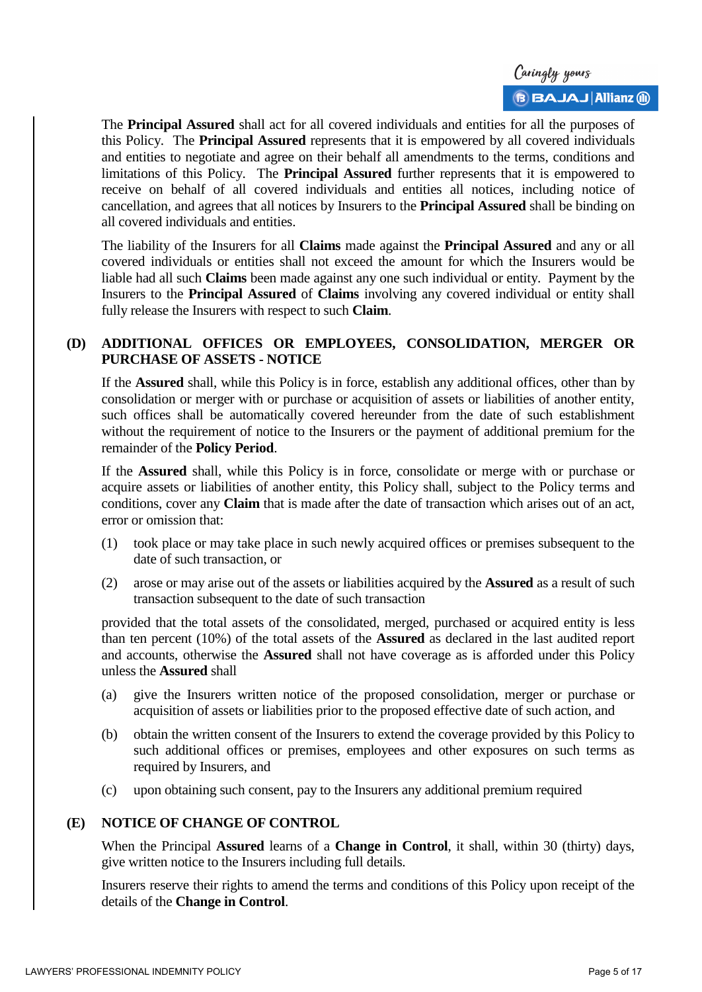

The **Principal Assured** shall act for all covered individuals and entities for all the purposes of this Policy. The **Principal Assured** represents that it is empowered by all covered individuals and entities to negotiate and agree on their behalf all amendments to the terms, conditions and limitations of this Policy. The **Principal Assured** further represents that it is empowered to receive on behalf of all covered individuals and entities all notices, including notice of cancellation, and agrees that all notices by Insurers to the **Principal Assured** shall be binding on all covered individuals and entities.

The liability of the Insurers for all **Claims** made against the **Principal Assured** and any or all covered individuals or entities shall not exceed the amount for which the Insurers would be liable had all such **Claims** been made against any one such individual or entity. Payment by the Insurers to the **Principal Assured** of **Claims** involving any covered individual or entity shall fully release the Insurers with respect to such **Claim**.

# **(D) ADDITIONAL OFFICES OR EMPLOYEES, CONSOLIDATION, MERGER OR PURCHASE OF ASSETS - NOTICE**

If the **Assured** shall, while this Policy is in force, establish any additional offices, other than by consolidation or merger with or purchase or acquisition of assets or liabilities of another entity, such offices shall be automatically covered hereunder from the date of such establishment without the requirement of notice to the Insurers or the payment of additional premium for the remainder of the **Policy Period**.

If the **Assured** shall, while this Policy is in force, consolidate or merge with or purchase or acquire assets or liabilities of another entity, this Policy shall, subject to the Policy terms and conditions, cover any **Claim** that is made after the date of transaction which arises out of an act, error or omission that:

- (1) took place or may take place in such newly acquired offices or premises subsequent to the date of such transaction, or
- (2) arose or may arise out of the assets or liabilities acquired by the **Assured** as a result of such transaction subsequent to the date of such transaction

provided that the total assets of the consolidated, merged, purchased or acquired entity is less than ten percent (10%) of the total assets of the **Assured** as declared in the last audited report and accounts, otherwise the **Assured** shall not have coverage as is afforded under this Policy unless the **Assured** shall

- (a) give the Insurers written notice of the proposed consolidation, merger or purchase or acquisition of assets or liabilities prior to the proposed effective date of such action, and
- (b) obtain the written consent of the Insurers to extend the coverage provided by this Policy to such additional offices or premises, employees and other exposures on such terms as required by Insurers, and
- (c) upon obtaining such consent, pay to the Insurers any additional premium required

# **(E) NOTICE OF CHANGE OF CONTROL**

When the Principal **Assured** learns of a **Change in Control**, it shall, within 30 (thirty) days, give written notice to the Insurers including full details.

Insurers reserve their rights to amend the terms and conditions of this Policy upon receipt of the details of the **Change in Control**.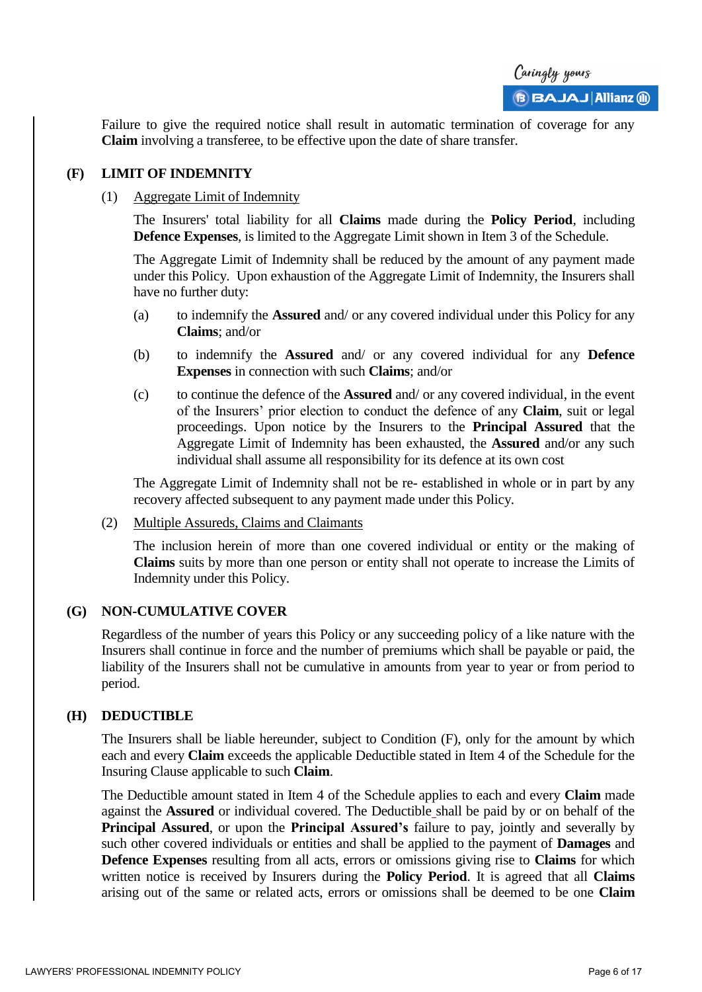

Failure to give the required notice shall result in automatic termination of coverage for any **Claim** involving a transferee, to be effective upon the date of share transfer.

#### **(F) LIMIT OF INDEMNITY**

### (1) Aggregate Limit of Indemnity

The Insurers' total liability for all **Claims** made during the **Policy Period**, including **Defence Expenses**, is limited to the Aggregate Limit shown in Item 3 of the Schedule.

The Aggregate Limit of Indemnity shall be reduced by the amount of any payment made under this Policy. Upon exhaustion of the Aggregate Limit of Indemnity, the Insurers shall have no further duty:

- (a) to indemnify the **Assured** and/ or any covered individual under this Policy for any **Claims**; and/or
- (b) to indemnify the **Assured** and/ or any covered individual for any **Defence Expenses** in connection with such **Claims**; and/or
- (c) to continue the defence of the **Assured** and/ or any covered individual, in the event of the Insurers' prior election to conduct the defence of any **Claim**, suit or legal proceedings. Upon notice by the Insurers to the **Principal Assured** that the Aggregate Limit of Indemnity has been exhausted, the **Assured** and/or any such individual shall assume all responsibility for its defence at its own cost

The Aggregate Limit of Indemnity shall not be re- established in whole or in part by any recovery affected subsequent to any payment made under this Policy.

#### (2) Multiple Assureds, Claims and Claimants

The inclusion herein of more than one covered individual or entity or the making of **Claims** suits by more than one person or entity shall not operate to increase the Limits of Indemnity under this Policy.

#### **(G) NON-CUMULATIVE COVER**

Regardless of the number of years this Policy or any succeeding policy of a like nature with the Insurers shall continue in force and the number of premiums which shall be payable or paid, the liability of the Insurers shall not be cumulative in amounts from year to year or from period to period.

#### **(H) DEDUCTIBLE**

The Insurers shall be liable hereunder, subject to Condition (F), only for the amount by which each and every **Claim** exceeds the applicable Deductible stated in Item 4 of the Schedule for the Insuring Clause applicable to such **Claim**.

The Deductible amount stated in Item 4 of the Schedule applies to each and every **Claim** made against the **Assured** or individual covered. The Deductible shall be paid by or on behalf of the **Principal Assured**, or upon the **Principal Assured's** failure to pay, jointly and severally by such other covered individuals or entities and shall be applied to the payment of **Damages** and **Defence Expenses** resulting from all acts, errors or omissions giving rise to **Claims** for which written notice is received by Insurers during the **Policy Period**. It is agreed that all **Claims** arising out of the same or related acts, errors or omissions shall be deemed to be one **Claim**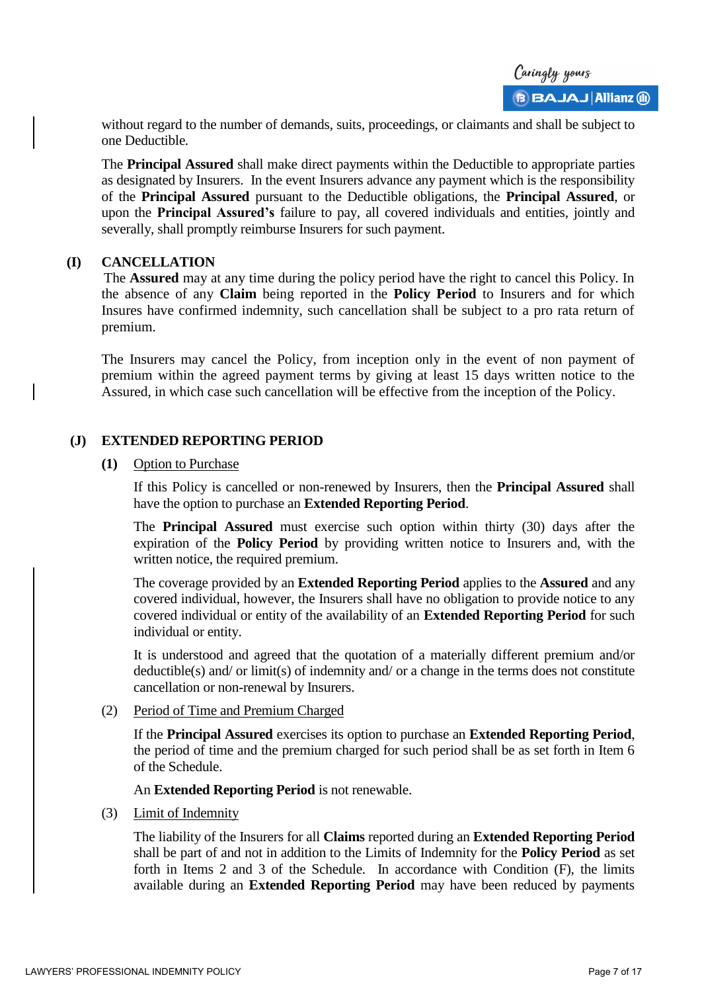without regard to the number of demands, suits, proceedings, or claimants and shall be subject to one Deductible.

The **Principal Assured** shall make direct payments within the Deductible to appropriate parties as designated by Insurers. In the event Insurers advance any payment which is the responsibility of the **Principal Assured** pursuant to the Deductible obligations, the **Principal Assured**, or upon the **Principal Assured's** failure to pay, all covered individuals and entities, jointly and severally, shall promptly reimburse Insurers for such payment.

#### **(I) CANCELLATION**

The **Assured** may at any time during the policy period have the right to cancel this Policy. In the absence of any **Claim** being reported in the **Policy Period** to Insurers and for which Insures have confirmed indemnity, such cancellation shall be subject to a pro rata return of premium.

The Insurers may cancel the Policy, from inception only in the event of non payment of premium within the agreed payment terms by giving at least 15 days written notice to the Assured, in which case such cancellation will be effective from the inception of the Policy.

# **(J) EXTENDED REPORTING PERIOD**

#### **(1)** Option to Purchase

If this Policy is cancelled or non-renewed by Insurers, then the **Principal Assured** shall have the option to purchase an **Extended Reporting Period**.

The **Principal Assured** must exercise such option within thirty (30) days after the expiration of the **Policy Period** by providing written notice to Insurers and, with the written notice, the required premium.

The coverage provided by an **Extended Reporting Period** applies to the **Assured** and any covered individual, however, the Insurers shall have no obligation to provide notice to any covered individual or entity of the availability of an **Extended Reporting Period** for such individual or entity.

It is understood and agreed that the quotation of a materially different premium and/or deductible(s) and/ or limit(s) of indemnity and/ or a change in the terms does not constitute cancellation or non-renewal by Insurers.

(2) Period of Time and Premium Charged

If the **Principal Assured** exercises its option to purchase an **Extended Reporting Period**, the period of time and the premium charged for such period shall be as set forth in Item 6 of the Schedule.

An **Extended Reporting Period** is not renewable.

(3) Limit of Indemnity

The liability of the Insurers for all **Claims** reported during an **Extended Reporting Period** shall be part of and not in addition to the Limits of Indemnity for the **Policy Period** as set forth in Items 2 and 3 of the Schedule. In accordance with Condition (F), the limits available during an **Extended Reporting Period** may have been reduced by payments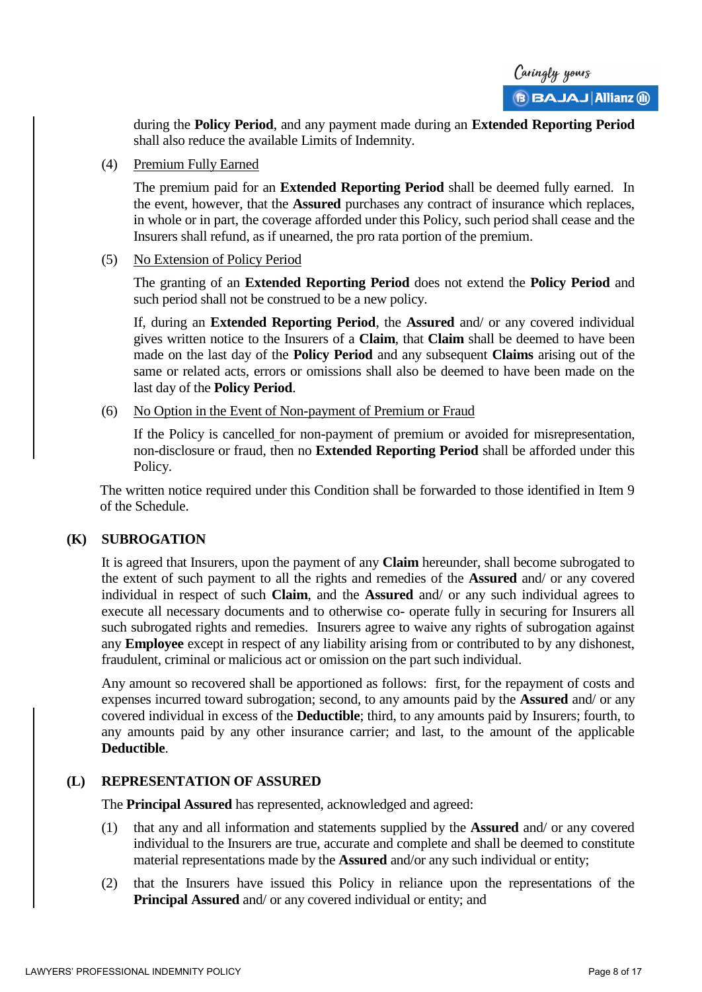during the **Policy Period**, and any payment made during an **Extended Reporting Period** shall also reduce the available Limits of Indemnity.

(4) Premium Fully Earned

The premium paid for an **Extended Reporting Period** shall be deemed fully earned. In the event, however, that the **Assured** purchases any contract of insurance which replaces, in whole or in part, the coverage afforded under this Policy, such period shall cease and the Insurers shall refund, as if unearned, the pro rata portion of the premium.

(5) No Extension of Policy Period

The granting of an **Extended Reporting Period** does not extend the **Policy Period** and such period shall not be construed to be a new policy.

If, during an **Extended Reporting Period**, the **Assured** and/ or any covered individual gives written notice to the Insurers of a **Claim**, that **Claim** shall be deemed to have been made on the last day of the **Policy Period** and any subsequent **Claims** arising out of the same or related acts, errors or omissions shall also be deemed to have been made on the last day of the **Policy Period**.

(6) No Option in the Event of Non-payment of Premium or Fraud

If the Policy is cancelled for non-payment of premium or avoided for misrepresentation, non-disclosure or fraud, then no **Extended Reporting Period** shall be afforded under this Policy.

The written notice required under this Condition shall be forwarded to those identified in Item 9 of the Schedule.

# **(K) SUBROGATION**

It is agreed that Insurers, upon the payment of any **Claim** hereunder, shall become subrogated to the extent of such payment to all the rights and remedies of the **Assured** and/ or any covered individual in respect of such **Claim**, and the **Assured** and/ or any such individual agrees to execute all necessary documents and to otherwise co- operate fully in securing for Insurers all such subrogated rights and remedies. Insurers agree to waive any rights of subrogation against any **Employee** except in respect of any liability arising from or contributed to by any dishonest, fraudulent, criminal or malicious act or omission on the part such individual.

Any amount so recovered shall be apportioned as follows: first, for the repayment of costs and expenses incurred toward subrogation; second, to any amounts paid by the **Assured** and/ or any covered individual in excess of the **Deductible**; third, to any amounts paid by Insurers; fourth, to any amounts paid by any other insurance carrier; and last, to the amount of the applicable **Deductible**.

# **(L) REPRESENTATION OF ASSURED**

The **Principal Assured** has represented, acknowledged and agreed:

- (1) that any and all information and statements supplied by the **Assured** and/ or any covered individual to the Insurers are true, accurate and complete and shall be deemed to constitute material representations made by the **Assured** and/or any such individual or entity;
- (2) that the Insurers have issued this Policy in reliance upon the representations of the **Principal Assured** and/ or any covered individual or entity; and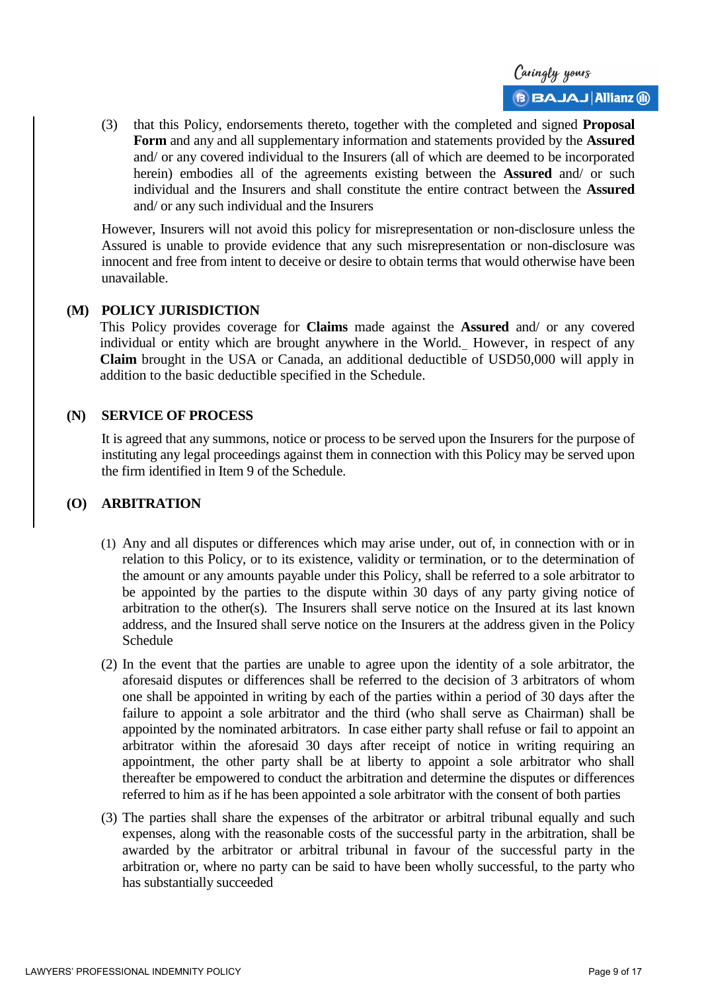

(3) that this Policy, endorsements thereto, together with the completed and signed **Proposal Form** and any and all supplementary information and statements provided by the **Assured** and/ or any covered individual to the Insurers (all of which are deemed to be incorporated herein) embodies all of the agreements existing between the **Assured** and/ or such individual and the Insurers and shall constitute the entire contract between the **Assured** and/ or any such individual and the Insurers

However, Insurers will not avoid this policy for misrepresentation or non-disclosure unless the Assured is unable to provide evidence that any such misrepresentation or non-disclosure was innocent and free from intent to deceive or desire to obtain terms that would otherwise have been unavailable.

#### **(M) POLICY JURISDICTION**

This Policy provides coverage for **Claims** made against the **Assured** and/ or any covered individual or entity which are brought anywhere in the World. However, in respect of any **Claim** brought in the USA or Canada, an additional deductible of USD50,000 will apply in addition to the basic deductible specified in the Schedule.

#### **(N) SERVICE OF PROCESS**

It is agreed that any summons, notice or process to be served upon the Insurers for the purpose of instituting any legal proceedings against them in connection with this Policy may be served upon the firm identified in Item 9 of the Schedule.

# **(O) ARBITRATION**

- (1) Any and all disputes or differences which may arise under, out of, in connection with or in relation to this Policy, or to its existence, validity or termination, or to the determination of the amount or any amounts payable under this Policy, shall be referred to a sole arbitrator to be appointed by the parties to the dispute within 30 days of any party giving notice of arbitration to the other(s). The Insurers shall serve notice on the Insured at its last known address, and the Insured shall serve notice on the Insurers at the address given in the Policy Schedule
- (2) In the event that the parties are unable to agree upon the identity of a sole arbitrator, the aforesaid disputes or differences shall be referred to the decision of 3 arbitrators of whom one shall be appointed in writing by each of the parties within a period of 30 days after the failure to appoint a sole arbitrator and the third (who shall serve as Chairman) shall be appointed by the nominated arbitrators. In case either party shall refuse or fail to appoint an arbitrator within the aforesaid 30 days after receipt of notice in writing requiring an appointment, the other party shall be at liberty to appoint a sole arbitrator who shall thereafter be empowered to conduct the arbitration and determine the disputes or differences referred to him as if he has been appointed a sole arbitrator with the consent of both parties
- (3) The parties shall share the expenses of the arbitrator or arbitral tribunal equally and such expenses, along with the reasonable costs of the successful party in the arbitration, shall be awarded by the arbitrator or arbitral tribunal in favour of the successful party in the arbitration or, where no party can be said to have been wholly successful, to the party who has substantially succeeded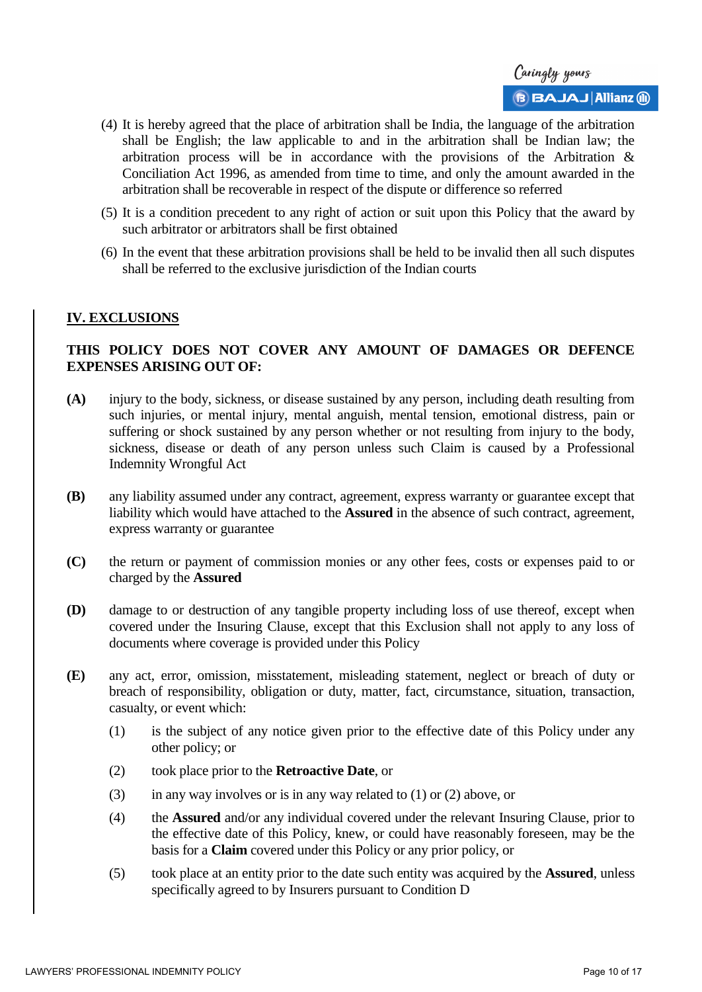

- (4) It is hereby agreed that the place of arbitration shall be India, the language of the arbitration shall be English; the law applicable to and in the arbitration shall be Indian law; the arbitration process will be in accordance with the provisions of the Arbitration & Conciliation Act 1996, as amended from time to time, and only the amount awarded in the arbitration shall be recoverable in respect of the dispute or difference so referred
- (5) It is a condition precedent to any right of action or suit upon this Policy that the award by such arbitrator or arbitrators shall be first obtained
- (6) In the event that these arbitration provisions shall be held to be invalid then all such disputes shall be referred to the exclusive jurisdiction of the Indian courts

### **IV. EXCLUSIONS**

# **THIS POLICY DOES NOT COVER ANY AMOUNT OF DAMAGES OR DEFENCE EXPENSES ARISING OUT OF:**

- **(A)** injury to the body, sickness, or disease sustained by any person, including death resulting from such injuries, or mental injury, mental anguish, mental tension, emotional distress, pain or suffering or shock sustained by any person whether or not resulting from injury to the body, sickness, disease or death of any person unless such Claim is caused by a Professional Indemnity Wrongful Act
- **(B)** any liability assumed under any contract, agreement, express warranty or guarantee except that liability which would have attached to the **Assured** in the absence of such contract, agreement, express warranty or guarantee
- **(C)** the return or payment of commission monies or any other fees, costs or expenses paid to or charged by the **Assured**
- **(D)** damage to or destruction of any tangible property including loss of use thereof, except when covered under the Insuring Clause, except that this Exclusion shall not apply to any loss of documents where coverage is provided under this Policy
- **(E)** any act, error, omission, misstatement, misleading statement, neglect or breach of duty or breach of responsibility, obligation or duty, matter, fact, circumstance, situation, transaction, casualty, or event which:
	- (1) is the subject of any notice given prior to the effective date of this Policy under any other policy; or
	- (2) took place prior to the **Retroactive Date**, or
	- (3) in any way involves or is in any way related to  $(1)$  or  $(2)$  above, or
	- (4) the **Assured** and/or any individual covered under the relevant Insuring Clause, prior to the effective date of this Policy, knew, or could have reasonably foreseen, may be the basis for a **Claim** covered under this Policy or any prior policy, or
	- (5) took place at an entity prior to the date such entity was acquired by the **Assured**, unless specifically agreed to by Insurers pursuant to Condition D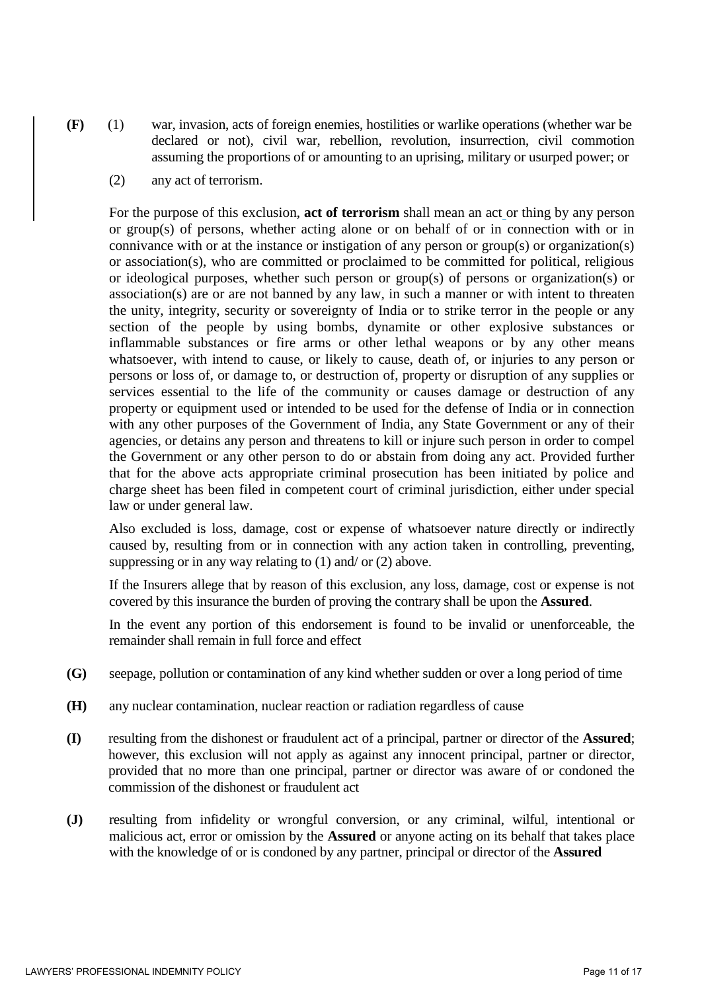

- **(F)** (1) war, invasion, acts of foreign enemies, hostilities or warlike operations (whether war be declared or not), civil war, rebellion, revolution, insurrection, civil commotion assuming the proportions of or amounting to an uprising, military or usurped power; or
	- (2) any act of terrorism.

For the purpose of this exclusion, **act of terrorism** shall mean an act or thing by any person or group(s) of persons, whether acting alone or on behalf of or in connection with or in connivance with or at the instance or instigation of any person or group(s) or organization(s) or association(s), who are committed or proclaimed to be committed for political, religious or ideological purposes, whether such person or group(s) of persons or organization(s) or association(s) are or are not banned by any law, in such a manner or with intent to threaten the unity, integrity, security or sovereignty of India or to strike terror in the people or any section of the people by using bombs, dynamite or other explosive substances or inflammable substances or fire arms or other lethal weapons or by any other means whatsoever, with intend to cause, or likely to cause, death of, or injuries to any person or persons or loss of, or damage to, or destruction of, property or disruption of any supplies or services essential to the life of the community or causes damage or destruction of any property or equipment used or intended to be used for the defense of India or in connection with any other purposes of the Government of India, any State Government or any of their agencies, or detains any person and threatens to kill or injure such person in order to compel the Government or any other person to do or abstain from doing any act. Provided further that for the above acts appropriate criminal prosecution has been initiated by police and charge sheet has been filed in competent court of criminal jurisdiction, either under special law or under general law.

Also excluded is loss, damage, cost or expense of whatsoever nature directly or indirectly caused by, resulting from or in connection with any action taken in controlling, preventing, suppressing or in any way relating to (1) and/ or (2) above.

If the Insurers allege that by reason of this exclusion, any loss, damage, cost or expense is not covered by this insurance the burden of proving the contrary shall be upon the **Assured**.

In the event any portion of this endorsement is found to be invalid or unenforceable, the remainder shall remain in full force and effect

- **(G)** seepage, pollution or contamination of any kind whether sudden or over a long period of time
- **(H)** any nuclear contamination, nuclear reaction or radiation regardless of cause
- **(I)** resulting from the dishonest or fraudulent act of a principal, partner or director of the **Assured**; however, this exclusion will not apply as against any innocent principal, partner or director, provided that no more than one principal, partner or director was aware of or condoned the commission of the dishonest or fraudulent act
- **(J)** resulting from infidelity or wrongful conversion, or any criminal, wilful, intentional or malicious act, error or omission by the **Assured** or anyone acting on its behalf that takes place with the knowledge of or is condoned by any partner, principal or director of the **Assured**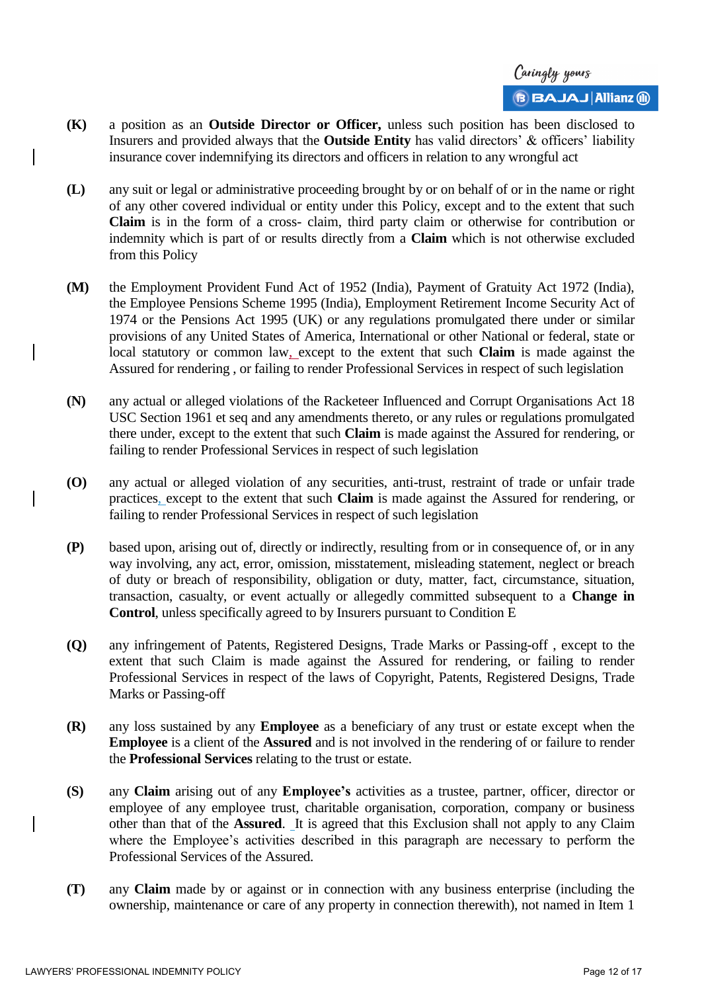- **(K)** a position as an **Outside Director or Officer,** unless such position has been disclosed to Insurers and provided always that the **Outside Entity** has valid directors' & officers' liability insurance cover indemnifying its directors and officers in relation to any wrongful act
- **(L)** any suit or legal or administrative proceeding brought by or on behalf of or in the name or right of any other covered individual or entity under this Policy, except and to the extent that such **Claim** is in the form of a cross- claim, third party claim or otherwise for contribution or indemnity which is part of or results directly from a **Claim** which is not otherwise excluded from this Policy
- **(M)** the Employment Provident Fund Act of 1952 (India), Payment of Gratuity Act 1972 (India), the Employee Pensions Scheme 1995 (India), Employment Retirement Income Security Act of 1974 or the Pensions Act 1995 (UK) or any regulations promulgated there under or similar provisions of any United States of America, International or other National or federal, state or local statutory or common law, except to the extent that such **Claim** is made against the Assured for rendering , or failing to render Professional Services in respect of such legislation
- **(N)** any actual or alleged violations of the Racketeer Influenced and Corrupt Organisations Act 18 USC Section 1961 et seq and any amendments thereto, or any rules or regulations promulgated there under, except to the extent that such **Claim** is made against the Assured for rendering, or failing to render Professional Services in respect of such legislation
- **(O)** any actual or alleged violation of any securities, anti-trust, restraint of trade or unfair trade practices, except to the extent that such **Claim** is made against the Assured for rendering, or failing to render Professional Services in respect of such legislation
- **(P)** based upon, arising out of, directly or indirectly, resulting from or in consequence of, or in any way involving, any act, error, omission, misstatement, misleading statement, neglect or breach of duty or breach of responsibility, obligation or duty, matter, fact, circumstance, situation, transaction, casualty, or event actually or allegedly committed subsequent to a **Change in Control**, unless specifically agreed to by Insurers pursuant to Condition E
- **(Q)** any infringement of Patents, Registered Designs, Trade Marks or Passing-off , except to the extent that such Claim is made against the Assured for rendering, or failing to render Professional Services in respect of the laws of Copyright, Patents, Registered Designs, Trade Marks or Passing-off
- **(R)** any loss sustained by any **Employee** as a beneficiary of any trust or estate except when the **Employee** is a client of the **Assured** and is not involved in the rendering of or failure to render the **Professional Services** relating to the trust or estate.
- **(S)** any **Claim** arising out of any **Employee's** activities as a trustee, partner, officer, director or employee of any employee trust, charitable organisation, corporation, company or business other than that of the **Assured**. It is agreed that this Exclusion shall not apply to any Claim where the Employee's activities described in this paragraph are necessary to perform the Professional Services of the Assured.
- **(T)** any **Claim** made by or against or in connection with any business enterprise (including the ownership, maintenance or care of any property in connection therewith), not named in Item 1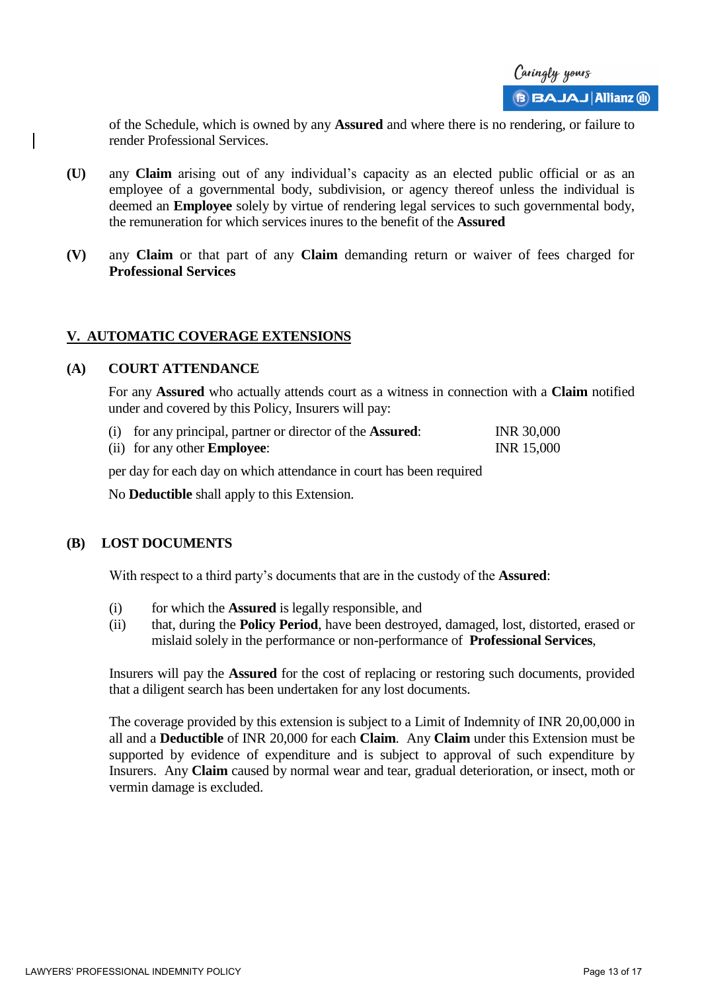of the Schedule, which is owned by any **Assured** and where there is no rendering, or failure to render Professional Services.

- **(U)** any **Claim** arising out of any individual's capacity as an elected public official or as an employee of a governmental body, subdivision, or agency thereof unless the individual is deemed an **Employee** solely by virtue of rendering legal services to such governmental body, the remuneration for which services inures to the benefit of the **Assured**
- **(V)** any **Claim** or that part of any **Claim** demanding return or waiver of fees charged for **Professional Services**

# **V. AUTOMATIC COVERAGE EXTENSIONS**

#### **(A) COURT ATTENDANCE**

For any **Assured** who actually attends court as a witness in connection with a **Claim** notified under and covered by this Policy, Insurers will pay:

| (i) for any principal, partner or director of the <b>Assured</b> : | <b>INR 30,000</b> |
|--------------------------------------------------------------------|-------------------|
| (ii) for any other <b>Employee</b> :                               | <b>INR</b> 15,000 |

per day for each day on which attendance in court has been required

No **Deductible** shall apply to this Extension.

### **(B) LOST DOCUMENTS**

With respect to a third party's documents that are in the custody of the **Assured**:

- (i) for which the **Assured** is legally responsible, and
- (ii) that, during the **Policy Period**, have been destroyed, damaged, lost, distorted, erased or mislaid solely in the performance or non-performance of **Professional Services**,

Insurers will pay the **Assured** for the cost of replacing or restoring such documents, provided that a diligent search has been undertaken for any lost documents.

The coverage provided by this extension is subject to a Limit of Indemnity of INR 20,00,000 in all and a **Deductible** of INR 20,000 for each **Claim**. Any **Claim** under this Extension must be supported by evidence of expenditure and is subject to approval of such expenditure by Insurers. Any **Claim** caused by normal wear and tear, gradual deterioration, or insect, moth or vermin damage is excluded.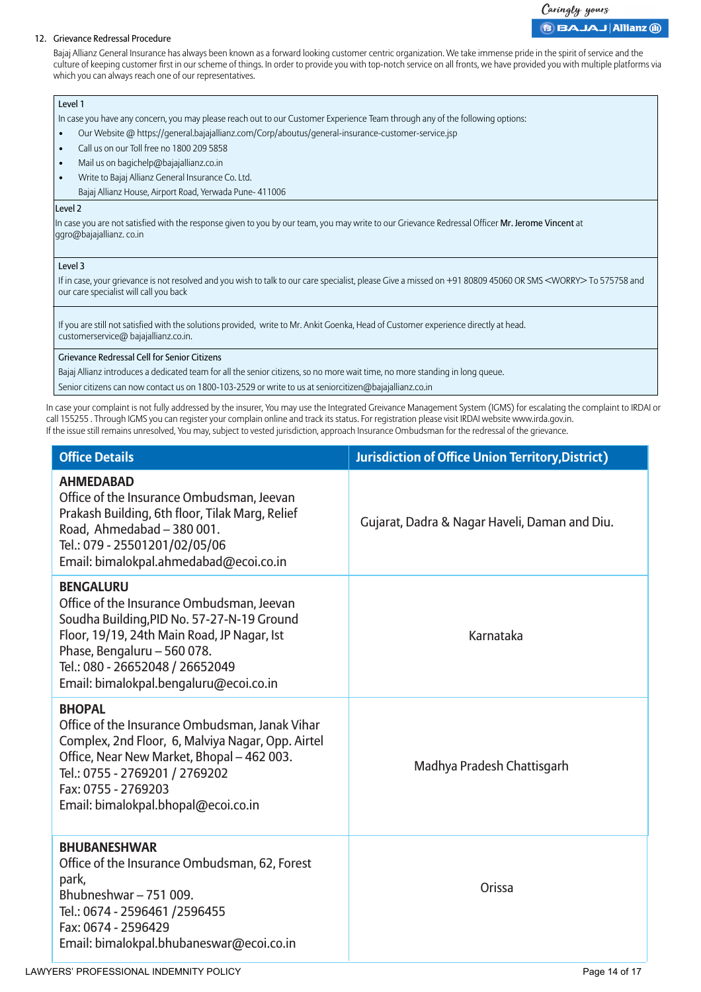#### Caringly yours **BBAJAJ Allianz @**

#### 12. Grievance Redressal Procedure

Bajaj Allianz General Insurance has always been known as a forward looking customer centric organization. We take immense pride in the spirit of service and the culture of keeping customer first in our scheme of things. In order to provide you with top-notch service on all fronts, we have provided you with multiple platforms via which you can always reach one of our representatives.

#### Level 1

In case you have any concern, you may please reach out to our Customer Experience Team through any of the following options:

- Our Website @ https://general.bajajallianz.com/Corp/aboutus/general-insurance-customer-service.jsp
- Call us on our Toll free no 1800 209 5858
- Mail us on bagichelp@bajajallianz.co.in
- Write to Bajaj Allianz General Insurance Co. Ltd.
	- Bajaj Allianz House, Airport Road, Yerwada Pune- 411006

#### Level 2

In case you are not satisfied with the response given to you by our team, you may write to our Grievance Redressal Officer Mr. Jerome Vincent at ggro@bajajallianz. co.in

#### Level 3

If in case, your grievance is not resolved and you wish to talk to our care specialist, please Give a missed on +91 80809 45060 OR SMS <WORRY> To 575758 and our care specialist will call you back

If you are still not satisfied with the solutions provided, write to Mr. Ankit Goenka, Head of Customer experience directly at head. customerservice@ bajajallianz.co.in.

#### Grievance Redressal Cell for Senior Citizens

Bajaj Allianz introduces a dedicated team for all the senior citizens, so no more wait time, no more standing in long queue.

Senior citizens can now contact us on 1800-103-2529 or write to us at seniorcitizen@bajajallianz.co.in

In case your complaint is not fully addressed by the insurer, You may use the Integrated Greivance Management System (IGMS) for escalating the complaint to IRDAI or call 155255 . Through IGMS you can register your complain online and track its status. For registration please visit IRDAI website www.irda.gov.in. If the issue still remains unresolved, You may, subject to vested jurisdiction, approach Insurance Ombudsman for the redressal of the grievance.

| <b>Office Details</b>                                                                                                                                                                                                                                                  | <b>Jurisdiction of Office Union Territory, District)</b> |
|------------------------------------------------------------------------------------------------------------------------------------------------------------------------------------------------------------------------------------------------------------------------|----------------------------------------------------------|
| <b>AHMEDABAD</b><br>Office of the Insurance Ombudsman, Jeevan<br>Prakash Building, 6th floor, Tilak Marg, Relief<br>Road, Ahmedabad - 380 001.<br>Tel.: 079 - 25501201/02/05/06<br>Email: bimalokpal.ahmedabad@ecoi.co.in                                              | Gujarat, Dadra & Nagar Haveli, Daman and Diu.            |
| <b>BENGALURU</b><br>Office of the Insurance Ombudsman, Jeevan<br>Soudha Building, PID No. 57-27-N-19 Ground<br>Floor, 19/19, 24th Main Road, JP Nagar, Ist<br>Phase, Bengaluru - 560 078.<br>Tel.: 080 - 26652048 / 26652049<br>Email: bimalokpal.bengaluru@ecoi.co.in | Karnataka                                                |
| <b>BHOPAL</b><br>Office of the Insurance Ombudsman, Janak Vihar<br>Complex, 2nd Floor, 6, Malviya Nagar, Opp. Airtel<br>Office, Near New Market, Bhopal - 462 003.<br>Tel.: 0755 - 2769201 / 2769202<br>Fax: 0755 - 2769203<br>Email: bimalokpal.bhopal@ecoi.co.in     | Madhya Pradesh Chattisgarh                               |
| <b>BHUBANESHWAR</b><br>Office of the Insurance Ombudsman, 62, Forest<br>park,<br>Bhubneshwar-751009.<br>Tel.: 0674 - 2596461 / 2596455<br>Fax: 0674 - 2596429<br>Email: bimalokpal.bhubaneswar@ecoi.co.in                                                              | Orissa                                                   |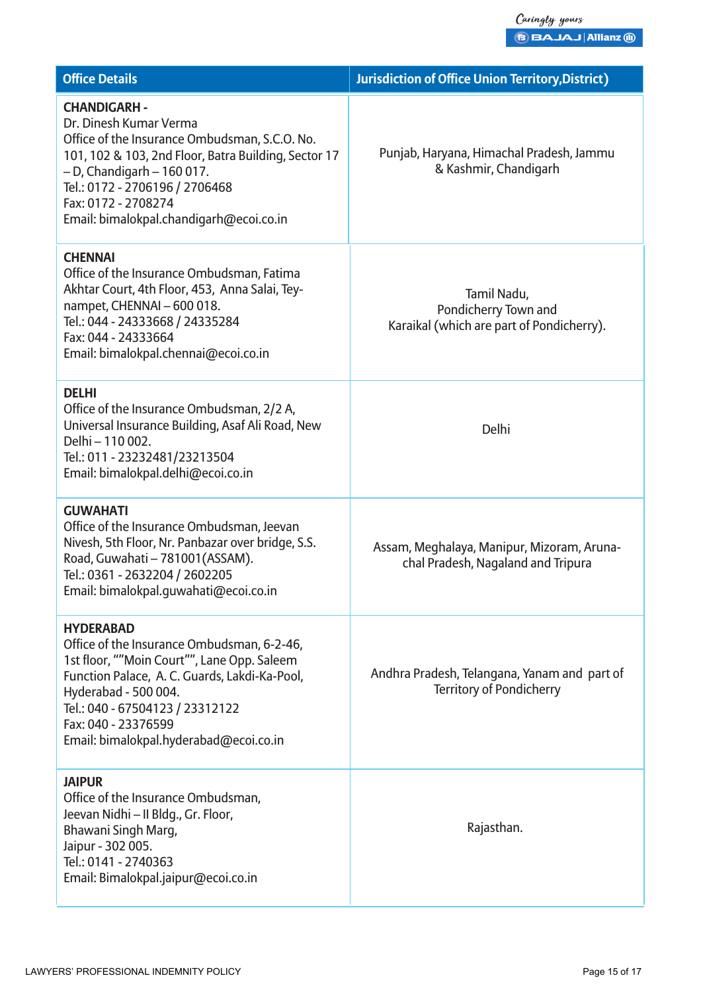| <b>Office Details</b>                                                                                                                                                                                                                                                                        | <b>Jurisdiction of Office Union Territory, District)</b>                         |
|----------------------------------------------------------------------------------------------------------------------------------------------------------------------------------------------------------------------------------------------------------------------------------------------|----------------------------------------------------------------------------------|
| <b>CHANDIGARH -</b><br>Dr. Dinesh Kumar Verma<br>Office of the Insurance Ombudsman, S.C.O. No.<br>101, 102 & 103, 2nd Floor, Batra Building, Sector 17<br>$-$ D, Chandigarh $-$ 160 017.<br>Tel.: 0172 - 2706196 / 2706468<br>Fax: 0172 - 2708274<br>Email: bimalokpal.chandigarh@ecoi.co.in | Punjab, Haryana, Himachal Pradesh, Jammu<br>& Kashmir, Chandigarh                |
| <b>CHENNAI</b><br>Office of the Insurance Ombudsman, Fatima<br>Akhtar Court, 4th Floor, 453, Anna Salai, Tey-<br>nampet, CHENNAI - 600 018.<br>Tel.: 044 - 24333668 / 24335284<br>Fax: 044 - 24333664<br>Email: bimalokpal.chennai@ecoi.co.in                                                | Tamil Nadu,<br>Pondicherry Town and<br>Karaikal (which are part of Pondicherry). |
| <b>DELHI</b><br>Office of the Insurance Ombudsman, 2/2 A,<br>Universal Insurance Building, Asaf Ali Road, New<br>Delhi - 110 002.<br>Tel.: 011 - 23232481/23213504<br>Email: bimalokpal.delhi@ecoi.co.in                                                                                     | Delhi                                                                            |
| <b>GUWAHATI</b><br>Office of the Insurance Ombudsman, Jeevan<br>Nivesh, 5th Floor, Nr. Panbazar over bridge, S.S.<br>Road, Guwahati - 781001 (ASSAM).<br>Tel.: 0361 - 2632204 / 2602205<br>Email: bimalokpal.quwahati@ecoi.co.in                                                             | Assam, Meghalaya, Manipur, Mizoram, Aruna-<br>chal Pradesh, Nagaland and Tripura |
| <b>HYDERABAD</b><br>Office of the Insurance Ombudsman, 6-2-46,<br>1st floor, ""Moin Court"", Lane Opp. Saleem<br>Function Palace, A. C. Guards, Lakdi-Ka-Pool,<br>Hyderabad - 500 004.<br>Tel.: 040 - 67504123 / 23312122<br>Fax: 040 - 23376599<br>Email: bimalokpal.hyderabad@ecoi.co.in   | Andhra Pradesh, Telangana, Yanam and part of<br><b>Territory of Pondicherry</b>  |
| <b>JAIPUR</b><br>Office of the Insurance Ombudsman,<br>Jeevan Nidhi - II Bldg., Gr. Floor,<br>Bhawani Singh Marg,<br>Jaipur - 302 005.<br>Tel.: 0141 - 2740363<br>Email: Bimalokpal.jaipur@ecoi.co.in                                                                                        | Rajasthan.                                                                       |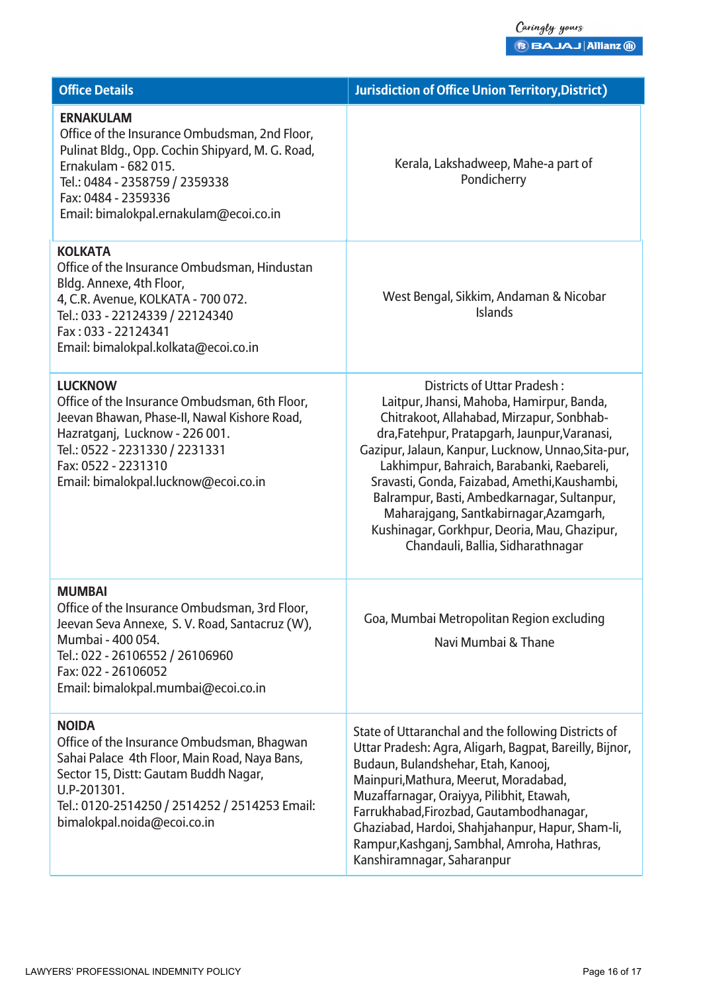| <b>Office Details</b>                                                                                                                                                                                                                               | <b>Jurisdiction of Office Union Territory, District)</b>                                                                                                                                                                                                                                                                                                                                                                                                                                                  |
|-----------------------------------------------------------------------------------------------------------------------------------------------------------------------------------------------------------------------------------------------------|-----------------------------------------------------------------------------------------------------------------------------------------------------------------------------------------------------------------------------------------------------------------------------------------------------------------------------------------------------------------------------------------------------------------------------------------------------------------------------------------------------------|
| <b>ERNAKULAM</b><br>Office of the Insurance Ombudsman, 2nd Floor,<br>Pulinat Bldg., Opp. Cochin Shipyard, M. G. Road,<br>Ernakulam - 682 015.<br>Tel.: 0484 - 2358759 / 2359338<br>Fax: 0484 - 2359336<br>Email: bimalokpal.ernakulam@ecoi.co.in    | Kerala, Lakshadweep, Mahe-a part of<br>Pondicherry                                                                                                                                                                                                                                                                                                                                                                                                                                                        |
| <b>KOLKATA</b><br>Office of the Insurance Ombudsman, Hindustan<br>Bldg. Annexe, 4th Floor,<br>4, C.R. Avenue, KOLKATA - 700 072.<br>Tel.: 033 - 22124339 / 22124340<br>Fax: 033 - 22124341<br>Email: bimalokpal.kolkata@ecoi.co.in                  | West Bengal, Sikkim, Andaman & Nicobar<br><b>Islands</b>                                                                                                                                                                                                                                                                                                                                                                                                                                                  |
| <b>LUCKNOW</b><br>Office of the Insurance Ombudsman, 6th Floor,<br>Jeevan Bhawan, Phase-II, Nawal Kishore Road,<br>Hazratganj, Lucknow - 226 001.<br>Tel.: 0522 - 2231330 / 2231331<br>Fax: 0522 - 2231310<br>Email: bimalokpal.lucknow@ecoi.co.in  | Districts of Uttar Pradesh:<br>Laitpur, Jhansi, Mahoba, Hamirpur, Banda,<br>Chitrakoot, Allahabad, Mirzapur, Sonbhab-<br>dra, Fatehpur, Pratapgarh, Jaunpur, Varanasi,<br>Gazipur, Jalaun, Kanpur, Lucknow, Unnao, Sita-pur,<br>Lakhimpur, Bahraich, Barabanki, Raebareli,<br>Sravasti, Gonda, Faizabad, Amethi, Kaushambi,<br>Balrampur, Basti, Ambedkarnagar, Sultanpur,<br>Maharajgang, Santkabirnagar, Azamgarh,<br>Kushinagar, Gorkhpur, Deoria, Mau, Ghazipur,<br>Chandauli, Ballia, Sidharathnagar |
| <b>MUMBAI</b><br>Office of the Insurance Ombudsman, 3rd Floor,<br>Jeevan Seva Annexe, S. V. Road, Santacruz (W),<br>Mumbai - 400 054.<br>Tel.: 022 - 26106552 / 26106960<br>Fax: 022 - 26106052<br>Email: bimalokpal.mumbai@ecoi.co.in              | Goa, Mumbai Metropolitan Region excluding<br>Navi Mumbai & Thane                                                                                                                                                                                                                                                                                                                                                                                                                                          |
| <b>NOIDA</b><br>Office of the Insurance Ombudsman, Bhagwan<br>Sahai Palace 4th Floor, Main Road, Naya Bans,<br>Sector 15, Distt: Gautam Buddh Nagar,<br>U.P-201301.<br>Tel.: 0120-2514250 / 2514252 / 2514253 Email:<br>bimalokpal.noida@ecoi.co.in | State of Uttaranchal and the following Districts of<br>Uttar Pradesh: Agra, Aligarh, Bagpat, Bareilly, Bijnor,<br>Budaun, Bulandshehar, Etah, Kanooj,<br>Mainpuri, Mathura, Meerut, Moradabad,<br>Muzaffarnagar, Oraiyya, Pilibhit, Etawah,<br>Farrukhabad, Firozbad, Gautambodhanagar,<br>Ghaziabad, Hardoi, Shahjahanpur, Hapur, Sham-li,<br>Rampur, Kashganj, Sambhal, Amroha, Hathras,<br>Kanshiramnagar, Saharanpur                                                                                  |